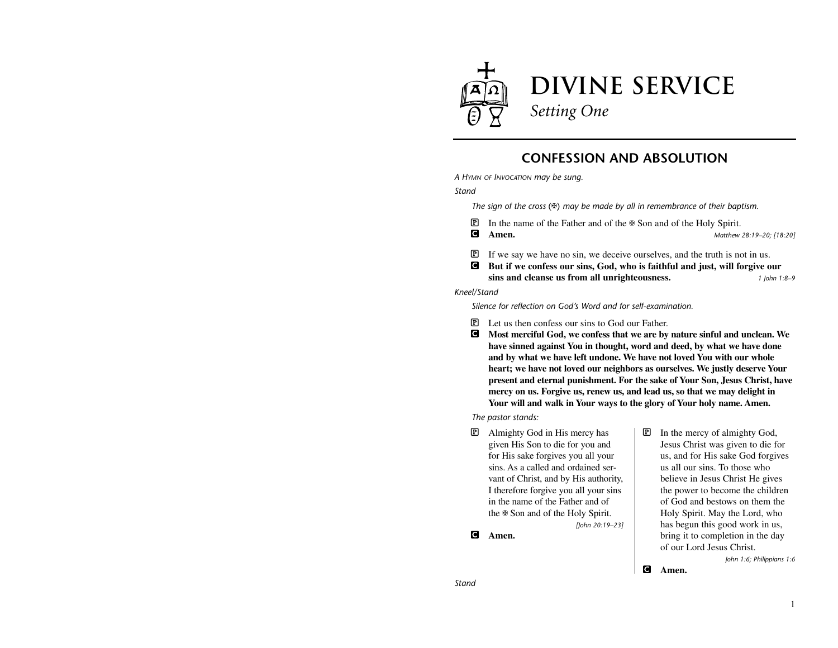

## **CONFESSION AND ABSOLUTION**

*A HYMN OF INVOCATION may be sung.*

*Stand*

*The sign of the cross* (✠) *may be made by all in remembrance of their baptism.*

 $\mathbb{P}$  In the name of the Father and of the  $\mathbb{F}$  Son and of the Holy Spirit.

C **Amen.** *Matthew 28:19–20; [18:20]*

- P If we say we have no sin, we deceive ourselves, and the truth is not in us.
- C **But if we confess our sins, God, who is faithful and just, will forgive our sins and cleanse us from all unrighteousness.** *1 John 1:8–9*

*Kneel/Stand*

*Silence for reflection on God's Word and for self-examination.*

*[John 20:19–23]*

- P Let us then confess our sins to God our Father.
- C **Most merciful God, we confess that we are by nature sinful and unclean. We have sinned against You in thought, word and deed, by what we have done and by what we have left undone. We have not loved You with our whole heart; we have not loved our neighbors as ourselves. We justly deserve Your present and eternal punishment. For the sake of Your Son, Jesus Christ, have mercy on us. Forgive us, renew us, and lead us, so that we may delight in Your will and walk in Your ways to the glory of Your holy name. Amen.**

*The pastor stands:*

P Almighty God in His mercy has given His Son to die for you and for His sake forgives you all your sins. As a called and ordained servant of Christ, and by His authority, I therefore forgive you all your sins in the name of the Father and of the ✠ Son and of the Holy Spirit.

C **Amen.**

P In the mercy of almighty God, Jesus Christ was given to die for us, and for His sake God forgives us all our sins. To those who believe in Jesus Christ He gives the power to become the children of God and bestows on them the Holy Spirit. May the Lord, who has begun this good work in us, bring it to completion in the day of our Lord Jesus Christ.

*John 1:6; Philippians 1:6*

C **Amen.**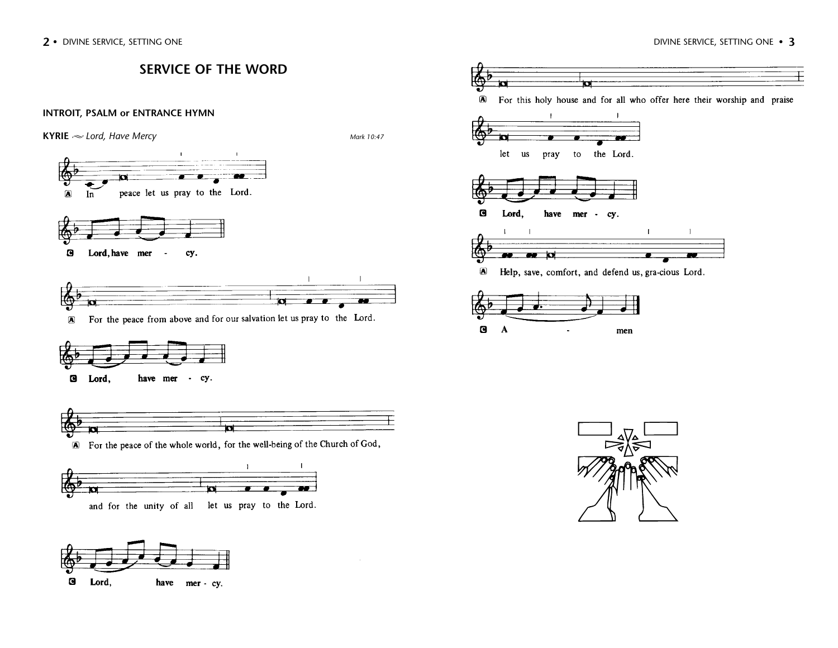$\mathbf{G}$ 

Lord,

have mer - cy.

E





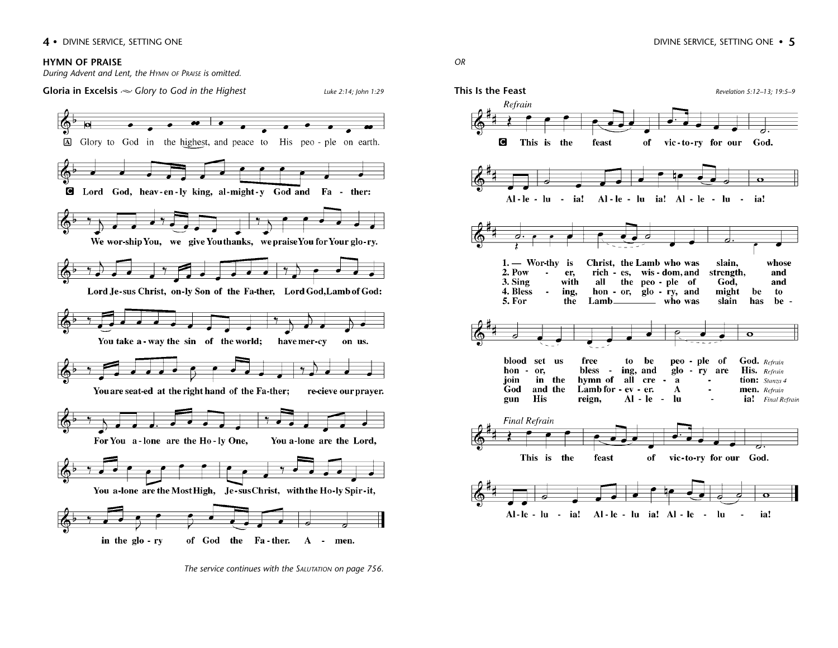#### **HYMN OF PRAISE**

*During Advent and Lent, the HYMN OF PRAISE is omitted.*

**Gloria in Excelsis** *Glory to God in the Highest Luke 2:14; John 1:29*



*The service continues with the SALUTATION on page 756.*

*OR*

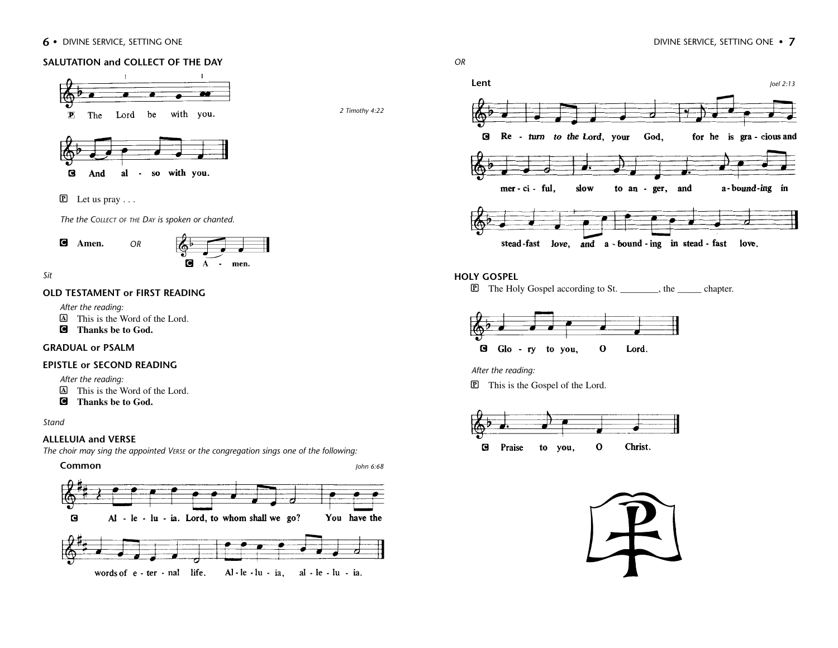#### **6** • DIVINE SERVICE, SETTING ONE • **7 DIVINE SERVICE, SETTING ONE** • **7**

#### **SALUTATION and COLLECT OF THE DAY**



 $\mathbf{G}$ And al - so with you.

 $\overline{P}$  Let us pray ...

*The the COLLECT OF THE DAY is spoken or chanted.*

*OR*

C **Amen.**



*Sit*

#### **OLD TESTAMENT or FIRST READING**

*After the reading:*

A This is the Word of the Lord.

C **Thanks be to God.** 

#### **GRADUAL or PSALM**

#### **EPISTLE or SECOND READING**

*After the reading:*

- A This is the Word of the Lord.
- C **Thanks be to God.**

*Stand*

#### **ALLELUIA and VERSE**

*The choir may sing the appointed VERSE or the congregation sings one of the following:*





*2 Timothy 4:22*



## **HOLY GOSPEL**

P The Holy Gospel according to St. \_\_\_\_\_\_\_\_, the \_\_\_\_\_ chapter.



*After the reading:*

P This is the Gospel of the Lord.



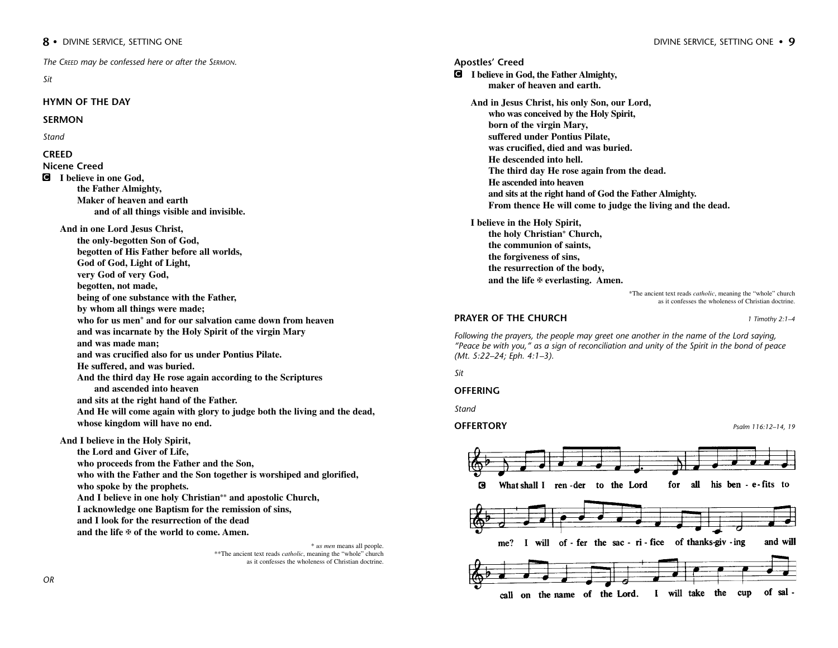*The CREED may be confessed here or after the SERMON.*

*Sit*

#### **HYMN OF THE DAY**

#### **SERMON**

*Stand*

#### **CREED**

**Nicene Creed**

C **I believe in one God, the Father Almighty, Maker of heaven and earth and of all things visible and invisible.**

**And in one Lord Jesus Christ, the only-begotten Son of God, begotten of His Father before all worlds, God of God, Light of Light, very God of very God, begotten, not made, being of one substance with the Father, by whom all things were made; who for us men\* and for our salvation came down from heaven and was incarnate by the Holy Spirit of the virgin Mary and was made man; and was crucified also for us under Pontius Pilate. He suffered, and was buried. And the third day He rose again according to the Scriptures and ascended into heaven and sits at the right hand of the Father. And He will come again with glory to judge both the living and the dead, whose kingdom will have no end.**

**And I believe in the Holy Spirit,**

**the Lord and Giver of Life, who proceeds from the Father and the Son, who with the Father and the Son together is worshiped and glorified, who spoke by the prophets. And I believe in one holy Christian\*\* and apostolic Church, I acknowledge one Baptism for the remission of sins, and I look for the resurrection of the dead and the life** ✠ **of the world to come. Amen.**

> \* *us men* means all people. \*\*The ancient text reads *catholic*, meaning the "whole" church as it confesses the wholeness of Christian doctrine.

**Apostles' Creed** C **I believe in God, the Father Almighty, maker of heaven and earth. And in Jesus Christ, his only Son, our Lord, who was conceived by the Holy Spirit, born of the virgin Mary, suffered under Pontius Pilate, was crucified, died and was buried. He descended into hell. The third day He rose again from the dead. He ascended into heaven and sits at the right hand of God the Father Almighty. From thence He will come to judge the living and the dead. I believe in the Holy Spirit, the holy Christian\* Church, the communion of saints, the forgiveness of sins, the resurrection of the body, and the life** ✠ **everlasting. Amen.**

\*The ancient text reads *catholic*, meaning the "whole" church as it confesses the wholeness of Christian doctrine.

#### **PRAYER OF THE CHURCH** *1 Timothy 2:1–4*

*Following the prayers, the people may greet one another in the name of the Lord saying, "Peace be with you," as a sign of reconciliation and unity of the Spirit in the bond of peace (Mt. 5:22–24; Eph. 4:1–3).*

*Sit*

#### **OFFERING**

*Stand*

#### **OFFERTORY** *Psalm 116:12–14, 19*

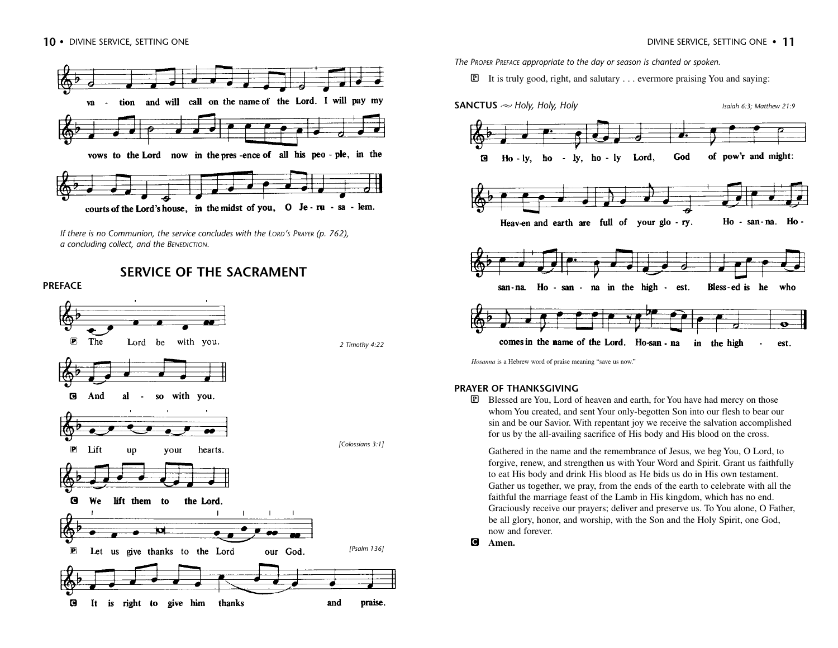

*If there is no Communion, the service concludes with the LORD'S PRAYER (p. 762), a concluding collect, and the BENEDICTION.*

**SERVICE OF THE SACRAMENT**

#### **PREFACE** œ  $\left| \mathbf{P}\right|$ The Lord be with you. *2 Timothy 4:22* G And al **SO** with you.  $\blacksquare$ *[Colossians 3:1]*  $\left| \mathbf{P} \right|$ Lift your  $\mathbf{u}\mathbf{p}$ hearts.  $\mathbf G$ We lift them to the Lord.  $\overline{\mathbf{p}}$ æ4 *[Psalm 136]*  $\bullet$ Let us give thanks to the Lord our God. thanks o It is right to give him and praise.

*The PROPER PREFACE appropriate to the day or season is chanted or spoken.*

 $\mathbb{P}$  It is truly good, right, and salutary . . . evermore praising You and saying:



*Hosanna* is a Hebrew word of praise meaning "save us now."

#### **PRAYER OF THANKSGIVING**

P Blessed are You, Lord of heaven and earth, for You have had mercy on those whom You created, and sent Your only-begotten Son into our flesh to bear our sin and be our Savior. With repentant joy we receive the salvation accomplished for us by the all-availing sacrifice of His body and His blood on the cross.

Gathered in the name and the remembrance of Jesus, we beg You, O Lord, to forgive, renew, and strengthen us with Your Word and Spirit. Grant us faithfully to eat His body and drink His blood as He bids us do in His own testament. Gather us together, we pray, from the ends of the earth to celebrate with all the faithful the marriage feast of the Lamb in His kingdom, which has no end. Graciously receive our prayers; deliver and preserve us. To You alone, O Father, be all glory, honor, and worship, with the Son and the Holy Spirit, one God, now and forever.

C **Amen.**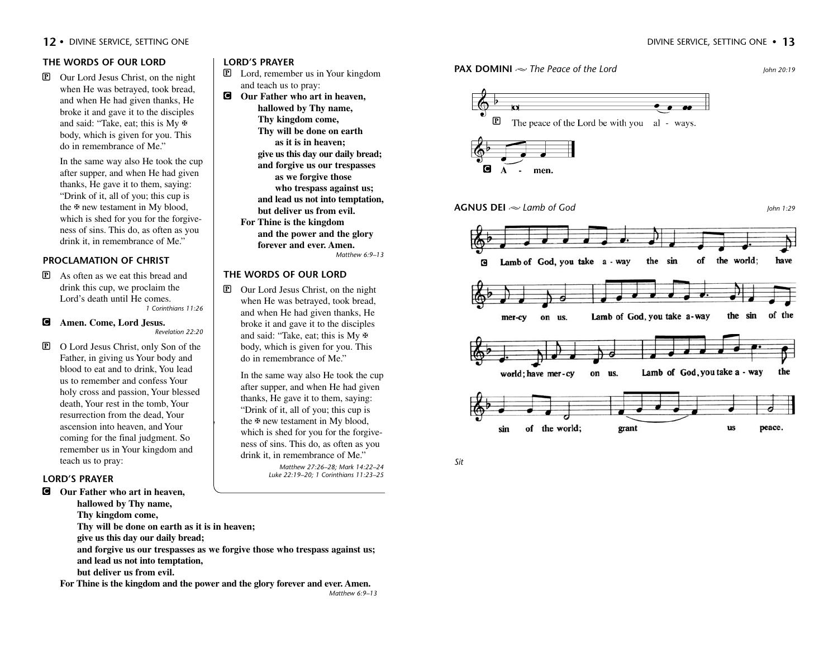## **THE WORDS OF OUR LORD**

P Our Lord Jesus Christ, on the night when He was betrayed, took bread, and when He had given thanks, He broke it and gave it to the disciples and said: "Take, eat; this is My  $\overline{\mathbb{F}}$ body, which is given for you. This do in remembrance of Me."

In the same way also He took the cup after supper, and when He had given thanks, He gave it to them, saying: "Drink of it, all of you; this cup is the ✠ new testament in My blood, which is shed for you for the forgiveness of sins. This do, as often as you drink it, in remembrance of Me."

## **PROCLAMATION OF CHRIST**

P As often as we eat this bread and drink this cup, we proclaim the Lord's death until He comes. *1 Corinthians 11:26*

#### C **Amen. Come, Lord Jesus.** *Revelation 22:20*

P O Lord Jesus Christ, only Son of the Father, in giving us Your body and blood to eat and to drink, You lead us to remember and confess Your holy cross and passion, Your blessed death, Your rest in the tomb, Your resurrection from the dead, Your ascension into heaven, and Your coming for the final judgment. So remember us in Your kingdom and teach us to pray:

#### **LORD'S PRAYER**

C **Our Father who art in heaven, hallowed by Thy name,**

**Thy kingdom come, Thy will be done on earth as it is in heaven; give us this day our daily bread; and forgive us our trespasses as we forgive those who trespass against us; and lead us not into temptation, but deliver us from evil.**

**For Thine is the kingdom and the power and the glory forever and ever. Amen.**

#### **LORD'S PRAYER**

- P Lord, remember us in Your kingdom and teach us to pray:
- C **Our Father who art in heaven, hallowed by Thy name, Thy kingdom come, Thy will be done on earth as it is in heaven; give us this day our daily bread; and forgive us our trespasses as we forgive those who trespass against us; and lead us not into temptation, but deliver us from evil. For Thine is the kingdom and the power and the glory forever and ever. Amen.**

*Matthew 6:9–13*

#### **THE WORDS OF OUR LORD**

P Our Lord Jesus Christ, on the night when He was betrayed, took bread, and when He had given thanks, He broke it and gave it to the disciples and said: "Take, eat; this is My  $\overline{\mathbb{F}}$ body, which is given for you. This do in remembrance of Me."

> In the same way also He took the cup after supper, and when He had given thanks, He gave it to them, saying: "Drink of it, all of you; this cup is the ✠ new testament in My blood, which is shed for you for the forgiveness of sins. This do, as often as you drink it, in remembrance of Me."

> > *Matthew 27:26–28; Mark 14:22–24 Luke 22:19–20; 1 Corinthians 11:23–25*



# $\mathbf F$ The peace of the Lord be with you al - ways.  $A$  - men.

**AGNUS DEI**  *Lamb of God John 1:29*





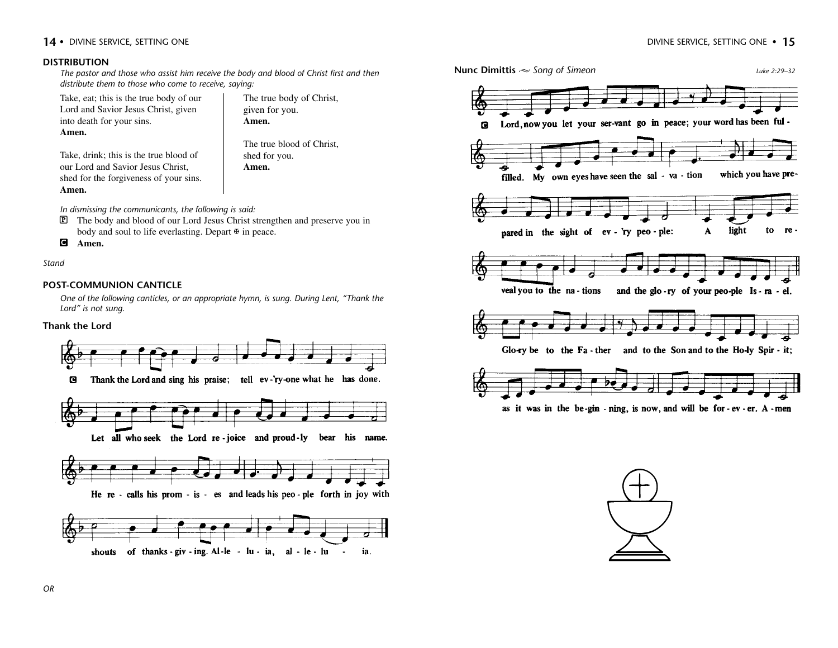#### **DISTRIBUTION**

*The pastor and those who assist him receive the body and blood of Christ first and then distribute them to those who come to receive, saying:*

Take, eat; this is the true body of our Lord and Savior Jesus Christ, given into death for your sins. **Amen.** 

The true body of Christ, given for you. **Amen.** 

The true blood of Christ, shed for you. **Amen.**

Take, drink; this is the true blood of our Lord and Savior Jesus Christ, shed for the forgiveness of your sins. **Amen.** 

*In dismissing the communicants, the following is said:*

P The body and blood of our Lord Jesus Christ strengthen and preserve you in body and soul to life everlasting. Depart  $\overline{\mathbf{F}}$  in peace.

```
C Amen.
```
*Stand*

#### **POST-COMMUNION CANTICLE**

*One of the following canticles, or an appropriate hymn, is sung. During Lent, "Thank the Lord" is not sung.* 

#### **Thank the Lord**





as it was in the be-gin - ning, is now, and will be for -  $ev$  -  $er$ . A - men